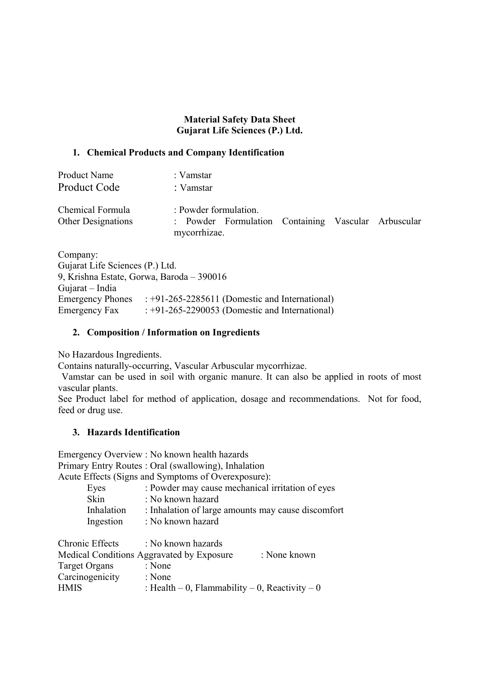## **Material Safety Data Sheet Gujarat Life Sciences (P.) Ltd.**

## **1. Chemical Products and Company Identification**

| <b>Product Name</b>                           | : Vamstar                                                                    |  |
|-----------------------------------------------|------------------------------------------------------------------------------|--|
| <b>Product Code</b>                           | : Vamstar                                                                    |  |
| Chemical Formula<br><b>Other Designations</b> | : Powder formulation.<br>: Powder Formulation Containing Vascular Arbuscular |  |
|                                               | mycorrhizae.                                                                 |  |

Company: Gujarat Life Sciences (P.) Ltd. 9, Krishna Estate, Gorwa, Baroda – 390016 Gujarat – India Emergency Phones : +91-265-2285611 (Domestic and International) Emergency Fax : +91-265-2290053 (Domestic and International)

## **2. Composition / Information on Ingredients**

No Hazardous Ingredients.

Contains naturally-occurring, Vascular Arbuscular mycorrhizae.

 Vamstar can be used in soil with organic manure. It can also be applied in roots of most vascular plants.

See Product label for method of application, dosage and recommendations. Not for food, feed or drug use.

## **3. Hazards Identification**

Emergency Overview : No known health hazards Primary Entry Routes : Oral (swallowing), Inhalation

Acute Effects (Signs and Symptoms of Overexposure):

| Eyes        | : Powder may cause mechanical irritation of eyes   |
|-------------|----------------------------------------------------|
| <b>Skin</b> | : No known hazard                                  |
| Inhalation  | : Inhalation of large amounts may cause discomfort |
| Ingestion   | : No known hazard                                  |
|             |                                                    |

| Chronic Effects | : No known hazards                             |              |
|-----------------|------------------------------------------------|--------------|
|                 | Medical Conditions Aggravated by Exposure      | : None known |
| Target Organs   | : None                                         |              |
| Carcinogenicity | : None                                         |              |
| <b>HMIS</b>     | : Health – 0, Flammability – 0, Reactivity – 0 |              |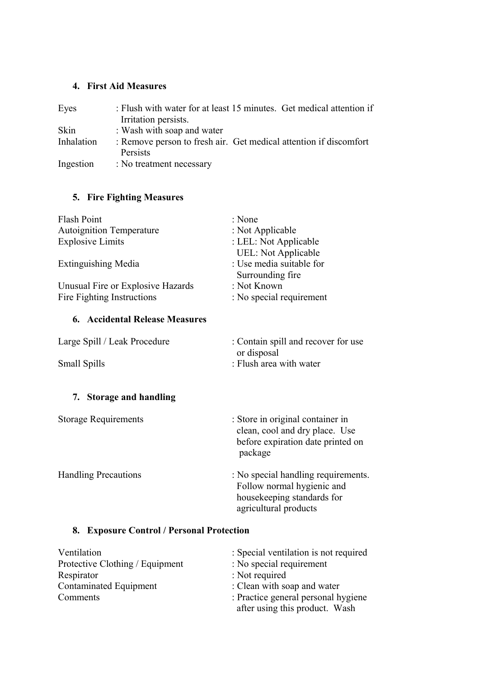## **4. First Aid Measures**

| Eyes       | : Flush with water for at least 15 minutes. Get medical attention if<br>Irritation persists. |
|------------|----------------------------------------------------------------------------------------------|
| Skin       | : Wash with soap and water                                                                   |
| Inhalation | : Remove person to fresh air. Get medical attention if discomfort<br>Persists                |
| Ingestion  | : No treatment necessary                                                                     |

# **5. Fire Fighting Measures**

| <b>Flash Point</b>                        | : None                                                                                                                   |
|-------------------------------------------|--------------------------------------------------------------------------------------------------------------------------|
| <b>Autoignition Temperature</b>           | : Not Applicable                                                                                                         |
| <b>Explosive Limits</b>                   | : LEL: Not Applicable                                                                                                    |
|                                           | <b>UEL: Not Applicable</b>                                                                                               |
| <b>Extinguishing Media</b>                | : Use media suitable for                                                                                                 |
|                                           | Surrounding fire                                                                                                         |
| Unusual Fire or Explosive Hazards         | : Not Known                                                                                                              |
| Fire Fighting Instructions                | : No special requirement                                                                                                 |
| <b>6. Accidental Release Measures</b>     |                                                                                                                          |
| Large Spill / Leak Procedure              | : Contain spill and recover for use<br>or disposal                                                                       |
| Small Spills                              | : Flush area with water                                                                                                  |
| 7. Storage and handling                   |                                                                                                                          |
|                                           |                                                                                                                          |
| <b>Storage Requirements</b>               | : Store in original container in<br>clean, cool and dry place. Use<br>before expiration date printed on<br>package       |
| <b>Handling Precautions</b>               | : No special handling requirements.<br>Follow normal hygienic and<br>housekeeping standards for<br>agricultural products |
| 8. Exposure Control / Personal Protection |                                                                                                                          |
| Ventilation                               | $\cdot$ Special ventilation is not required                                                                              |

| : Special ventilation is not required                                 |
|-----------------------------------------------------------------------|
| : No special requirement                                              |
| : Not required                                                        |
| : Clean with soap and water                                           |
| : Practice general personal hygiene<br>after using this product. Wash |
|                                                                       |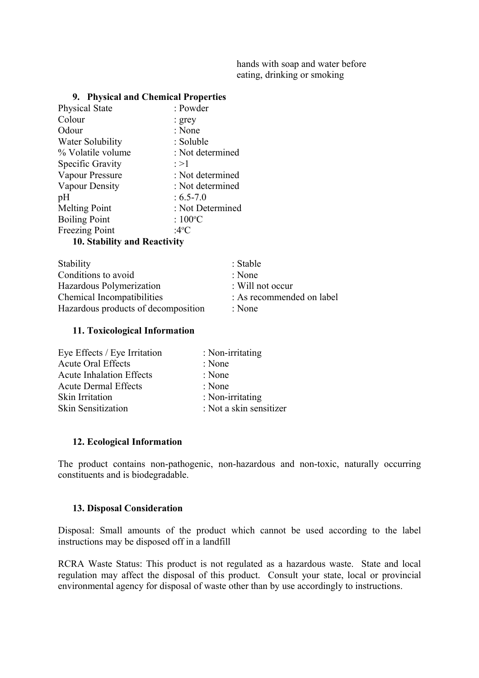hands with soap and water before eating, drinking or smoking

#### **9. Physical and Chemical Properties**

| <b>Physical State</b>                                                | : Powder          |
|----------------------------------------------------------------------|-------------------|
| Colour                                                               | : grey            |
| Odour                                                                | : None            |
| Water Solubility                                                     | : Soluble         |
| % Volatile volume                                                    | : Not determined  |
| Specific Gravity                                                     | $\geq$ $>1$       |
| Vapour Pressure                                                      | : Not determined  |
| Vapour Density                                                       | : Not determined  |
| pH                                                                   | $: 6.5 - 7.0$     |
| <b>Melting Point</b>                                                 | : Not Determined  |
| <b>Boiling Point</b>                                                 | : $100^{\circ}$ C |
| <b>Freezing Point</b>                                                | :4°C              |
| $\mathbf{10}$ $\mathbf{0}$ $\mathbf{11}$ $\mathbf{12}$ $\mathbf{12}$ |                   |

**10. Stability and Reactivity**

| : Stable                    |
|-----------------------------|
| : None                      |
| $\therefore$ Will not occur |
| : As recommended on label   |
| : None                      |
|                             |

#### **11. Toxicological Information**

| Eye Effects / Eye Irritation    | : Non-irritating        |
|---------------------------------|-------------------------|
| <b>Acute Oral Effects</b>       | : None                  |
| <b>Acute Inhalation Effects</b> | : None                  |
| <b>Acute Dermal Effects</b>     | : None                  |
| Skin Irritation                 | : Non-irritating        |
| <b>Skin Sensitization</b>       | : Not a skin sensitizer |

#### **12. Ecological Information**

The product contains non-pathogenic, non-hazardous and non-toxic, naturally occurring constituents and is biodegradable.

#### **13. Disposal Consideration**

Disposal: Small amounts of the product which cannot be used according to the label instructions may be disposed off in a landfill

RCRA Waste Status: This product is not regulated as a hazardous waste. State and local regulation may affect the disposal of this product. Consult your state, local or provincial environmental agency for disposal of waste other than by use accordingly to instructions.